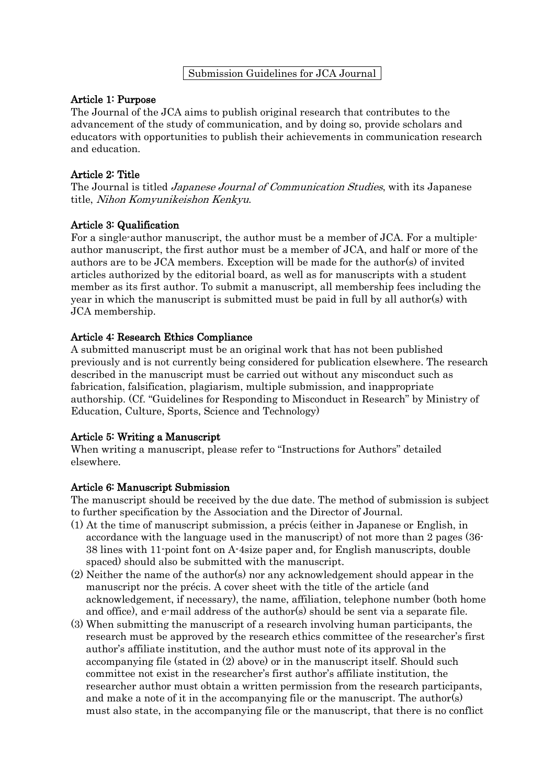#### Submission Guidelines for JCA Journal

### Article 1: Purpose

The Journal of the JCA aims to publish original research that contributes to the advancement of the study of communication, and by doing so, provide scholars and educators with opportunities to publish their achievements in communication research and education.

### Article 2: Title

The Journal is titled *Japanese Journal of Communication Studies*, with its Japanese title, Nihon Komyunikeishon Kenkyu.

### Article 3: Qualification

For a single-author manuscript, the author must be a member of JCA. For a multipleauthor manuscript, the first author must be a member of JCA, and half or more of the authors are to be JCA members. Exception will be made for the author(s) of invited articles authorized by the editorial board, as well as for manuscripts with a student member as its first author. To submit a manuscript, all membership fees including the year in which the manuscript is submitted must be paid in full by all author(s) with JCA membership.

## Article 4: Research Ethics Compliance

A submitted manuscript must be an original work that has not been published previously and is not currently being considered for publication elsewhere. The research described in the manuscript must be carried out without any misconduct such as fabrication, falsification, plagiarism, multiple submission, and inappropriate authorship. (Cf. "Guidelines for Responding to Misconduct in Research" by Ministry of Education, Culture, Sports, Science and Technology)

### Article 5: Writing a Manuscript

When writing a manuscript, please refer to "Instructions for Authors" detailed elsewhere.

### Article 6: Manuscript Submission

The manuscript should be received by the due date. The method of submission is subject to further specification by the Association and the Director of Journal.

- (1) At the time of manuscript submission, a précis (either in Japanese or English, in accordance with the language used in the manuscript) of not more than 2 pages (36- 38 lines with 11-point font on A-4size paper and, for English manuscripts, double spaced) should also be submitted with the manuscript.
- (2) Neither the name of the author(s) nor any acknowledgement should appear in the manuscript nor the précis. A cover sheet with the title of the article (and acknowledgement, if necessary), the name, affiliation, telephone number (both home and office), and e-mail address of the author(s) should be sent via a separate file.
- (3) When submitting the manuscript of a research involving human participants, the research must be approved by the research ethics committee of the researcher's first author's affiliate institution, and the author must note of its approval in the accompanying file (stated in (2) above) or in the manuscript itself. Should such committee not exist in the researcher's first author's affiliate institution, the researcher author must obtain a written permission from the research participants, and make a note of it in the accompanying file or the manuscript. The author(s) must also state, in the accompanying file or the manuscript, that there is no conflict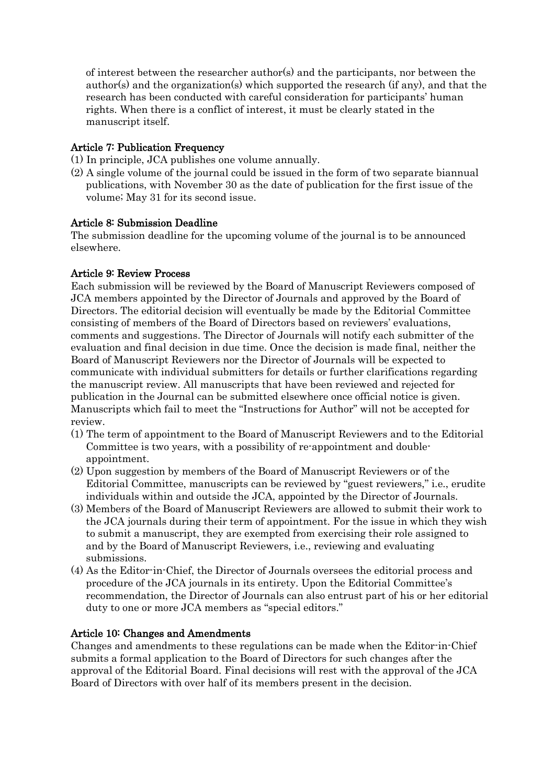of interest between the researcher author(s) and the participants, nor between the author(s) and the organization(s) which supported the research (if any), and that the research has been conducted with careful consideration for participants' human rights. When there is a conflict of interest, it must be clearly stated in the manuscript itself.

# Article 7: Publication Frequency

- (1) In principle, JCA publishes one volume annually.
- (2) A single volume of the journal could be issued in the form of two separate biannual publications, with November 30 as the date of publication for the first issue of the volume; May 31 for its second issue.

## Article 8: Submission Deadline

The submission deadline for the upcoming volume of the journal is to be announced elsewhere.

# Article 9: Review Process

Each submission will be reviewed by the Board of Manuscript Reviewers composed of JCA members appointed by the Director of Journals and approved by the Board of Directors. The editorial decision will eventually be made by the Editorial Committee consisting of members of the Board of Directors based on reviewers' evaluations, comments and suggestions. The Director of Journals will notify each submitter of the evaluation and final decision in due time. Once the decision is made final, neither the Board of Manuscript Reviewers nor the Director of Journals will be expected to communicate with individual submitters for details or further clarifications regarding the manuscript review. All manuscripts that have been reviewed and rejected for publication in the Journal can be submitted elsewhere once official notice is given. Manuscripts which fail to meet the "Instructions for Author" will not be accepted for review.

- (1) The term of appointment to the Board of Manuscript Reviewers and to the Editorial Committee is two years, with a possibility of re-appointment and doubleappointment.
- (2) Upon suggestion by members of the Board of Manuscript Reviewers or of the Editorial Committee, manuscripts can be reviewed by "guest reviewers," i.e., erudite individuals within and outside the JCA, appointed by the Director of Journals.
- (3) Members of the Board of Manuscript Reviewers are allowed to submit their work to the JCA journals during their term of appointment. For the issue in which they wish to submit a manuscript, they are exempted from exercising their role assigned to and by the Board of Manuscript Reviewers, i.e., reviewing and evaluating submissions.
- (4) As the Editor-in-Chief, the Director of Journals oversees the editorial process and procedure of the JCA journals in its entirety. Upon the Editorial Committee's recommendation, the Director of Journals can also entrust part of his or her editorial duty to one or more JCA members as "special editors."

# Article 10: Changes and Amendments

Changes and amendments to these regulations can be made when the Editor-in-Chief submits a formal application to the Board of Directors for such changes after the approval of the Editorial Board. Final decisions will rest with the approval of the JCA Board of Directors with over half of its members present in the decision.